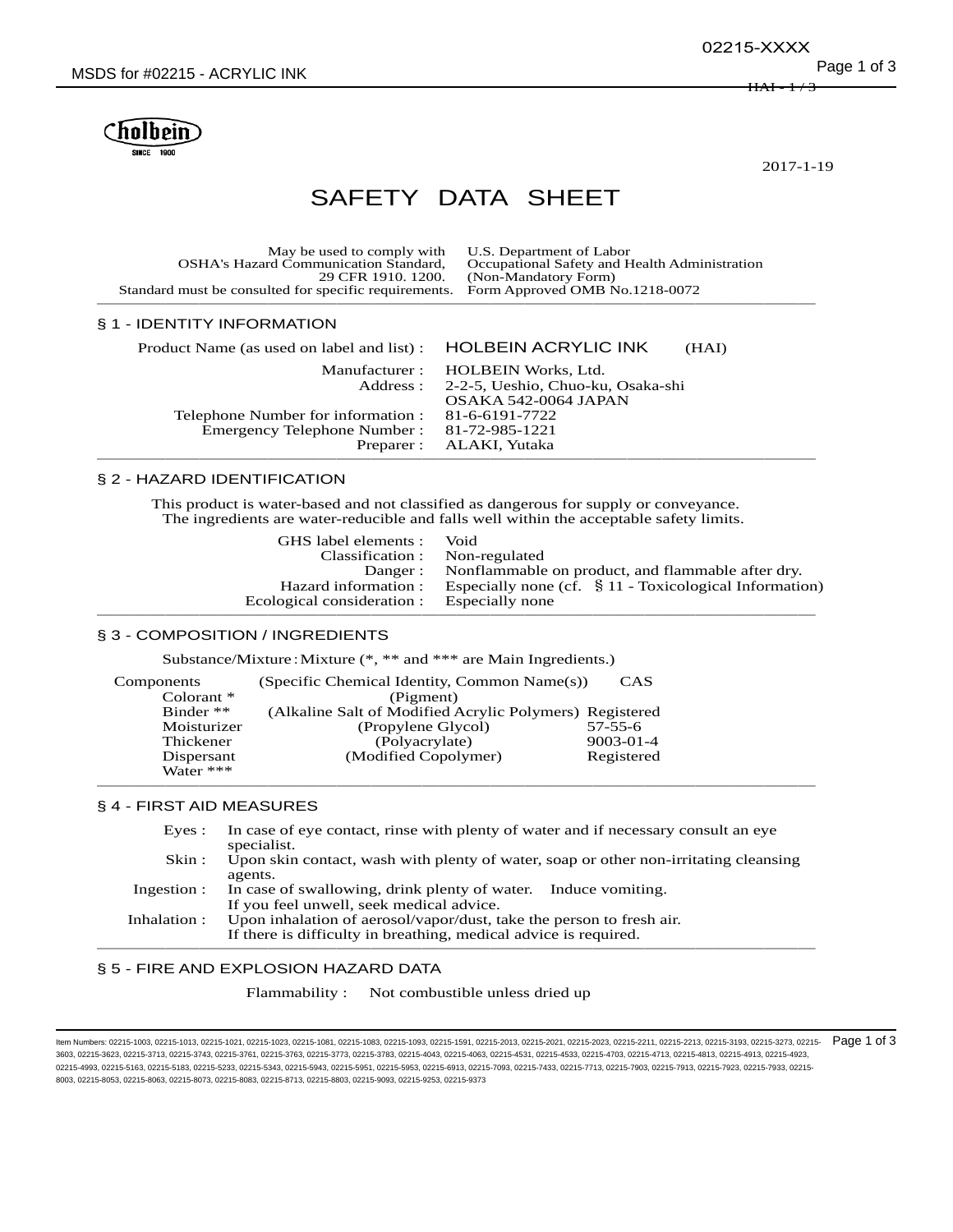Cholhein

2017-1-19

# SAFETY DATA SHEET

| May be used to comply with U.S. Department of Labor                                  |                                               |
|--------------------------------------------------------------------------------------|-----------------------------------------------|
| <b>OSHA's Hazard Communication Standard,</b>                                         | Occupational Safety and Health Administration |
|                                                                                      | 29 CFR 1910. 1200. (Non-Mandatory Form)       |
| Standard must be consulted for specific requirements. Form Approved OMB No.1218-0072 |                                               |
|                                                                                      |                                               |

#### § 1 - IDENTITY INFORMATION

| Product Name (as used on label and list) : HOLBEIN ACRYLIC INK | (HAI)                                                                                                   |
|----------------------------------------------------------------|---------------------------------------------------------------------------------------------------------|
|                                                                | Manufacturer: HOLBEIN Works, Ltd.<br>Address: 2-2-5, Ueshio, Chuo-ku, Osaka-shi<br>OSAKA 542-0064 JAPAN |
| Telephone Number for information : 81-6-6191-7722              |                                                                                                         |
| Emergency Telephone Number: 81-72-985-1221                     |                                                                                                         |
|                                                                | Preparer: ALAKI, Yutaka                                                                                 |

# § 2 - HAZARD IDENTIFICATION

This product is water-based and not classified as dangerous for supply or conveyance. The ingredients are water-reducible and falls well within the acceptable safety limits.

| GHS label elements :                       | Void                                                       |
|--------------------------------------------|------------------------------------------------------------|
| Classification :                           | Non-regulated                                              |
|                                            | Danger: Nonflammable on product, and flammable after dry.  |
| Hazard information :                       | Especially none (cf. $\ S 11$ - Toxicological Information) |
| Ecological consideration : Especially none |                                                            |
|                                            |                                                            |

#### § 3 - COMPOSITION / INGREDIENTS

Substance/Mixture:Mixture (\*, \*\* and \*\*\* are Main Ingredients.)

| Components   | (Specific Chemical Identity, Common Name(s))            | <b>CAS</b>      |
|--------------|---------------------------------------------------------|-----------------|
| Colorant $*$ | (Pigment)                                               |                 |
| Binder $**$  | (Alkaline Salt of Modified Acrylic Polymers) Registered |                 |
| Moisturizer  | (Propylene Glycol)                                      | $57 - 55 - 6$   |
| Thickener    | (Polyacrylate)                                          | $9003 - 01 - 4$ |
| Dispersant   | (Modified Copolymer)                                    | Registered      |
| Water ***    |                                                         |                 |

## § 4 - FIRST AID MEASURES

| Eves:        | In case of eye contact, rinse with plenty of water and if necessary consult an eye<br>specialist.                                        |
|--------------|------------------------------------------------------------------------------------------------------------------------------------------|
| Skin :       | Upon skin contact, wash with plenty of water, soap or other non-irritating cleansing<br>agents.                                          |
| Ingestion :  | In case of swallowing, drink plenty of water. Induce vomiting.<br>If you feel unwell, seek medical advice.                               |
| Inhalation : | Upon inhalation of aerosol/vapor/dust, take the person to fresh air.<br>If there is difficulty in breathing, medical advice is required. |
|              |                                                                                                                                          |

──────────────────────────────────────────

#### § 5 - FIRE AND EXPLOSION HAZARD DATA

Flammability : Not combustible unless dried up

ltem Numbers: 02215-1003, 02215-1013, 02215-1021, 02215-1023, 02215-1081, 02215-1083, 02215-1083, 02215-2013, 02215-2013, 02215-2020, 02215-2211, 02215-2213, 02215-23193, 02215-3193, 02215-3273, 02215-373, 02215-273, 02215 3603, 02215-3623, 02215-3713, 02215-3743, 02215-3761, 02215-3763, 02215-3773, 02215-3783, 02215-4043, 02215-4063, 02215-4531, 02215-4533, 02215-4703, 02215-4713, 02215-4813, 02215-4913, 02215-4923, 02215-4993, 02215-5163, 02215-5183, 02215-5233, 02215-5343, 02215-5943, 02215-5951, 02215-5953, 02215-6913, 02215-7093, 02215-7433, 02215-7713, 02215-7903, 02215-7913, 02215-7923, 02215-7933, 02215- 8003, 02215-8053, 02215-8063, 02215-8073, 02215-8083, 02215-8713, 02215-8803, 02215-9093, 02215-9253, 02215-9373

<del>HAI</del>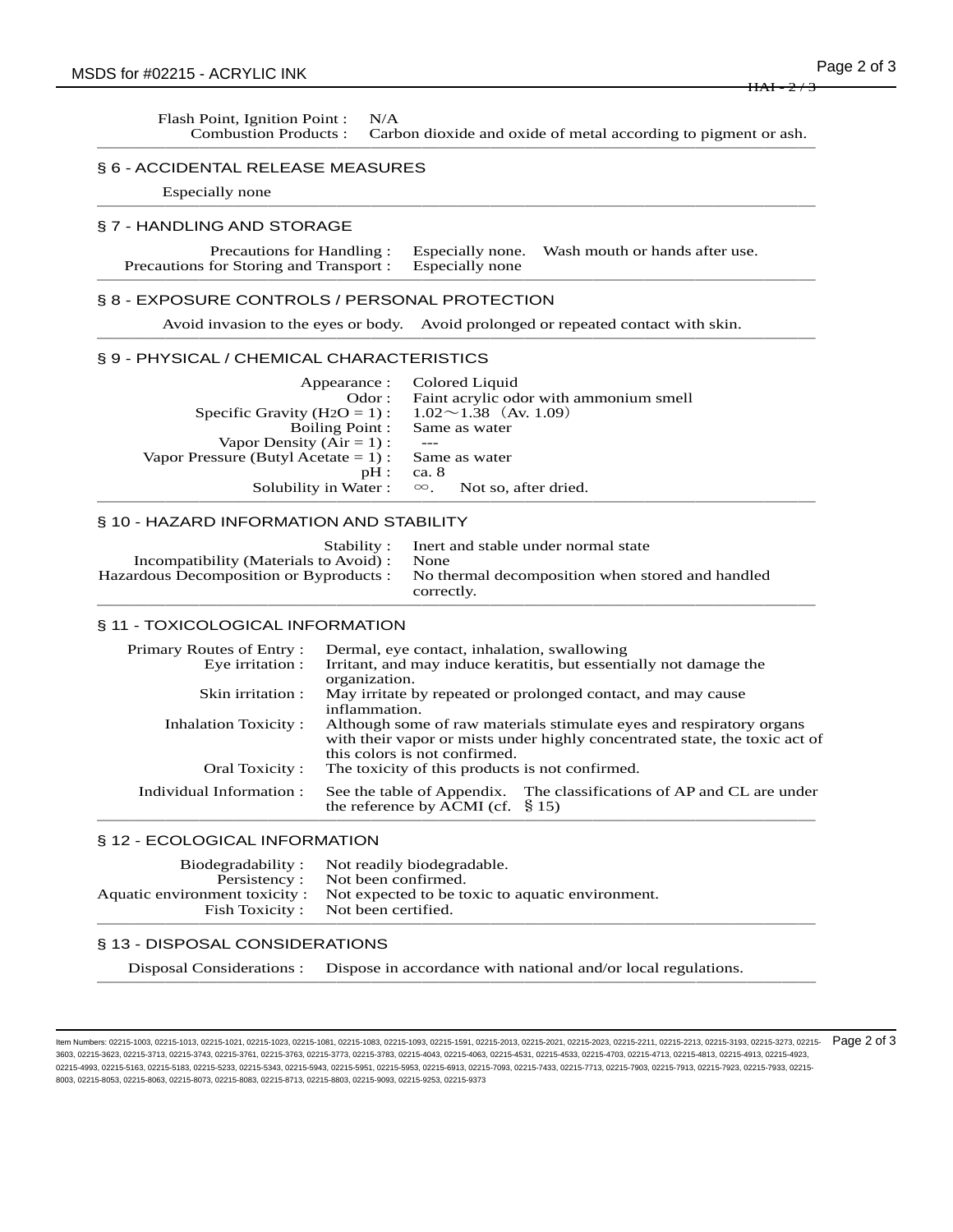Flash Point, Ignition Point : N/A

| гтамг гонц, тенцон гонц .<br><b>Combustion Products:</b>                                                          | 11/7                                                                                                                                                                                                                                                                                                                                                                                                                                                           | Carbon dioxide and oxide of metal according to pigment or ash.                                                                                                           |  |
|-------------------------------------------------------------------------------------------------------------------|----------------------------------------------------------------------------------------------------------------------------------------------------------------------------------------------------------------------------------------------------------------------------------------------------------------------------------------------------------------------------------------------------------------------------------------------------------------|--------------------------------------------------------------------------------------------------------------------------------------------------------------------------|--|
| § 6 - ACCIDENTAL RELEASE MEASURES                                                                                 |                                                                                                                                                                                                                                                                                                                                                                                                                                                                |                                                                                                                                                                          |  |
| Especially none                                                                                                   |                                                                                                                                                                                                                                                                                                                                                                                                                                                                |                                                                                                                                                                          |  |
| § 7 - HANDLING AND STORAGE                                                                                        |                                                                                                                                                                                                                                                                                                                                                                                                                                                                |                                                                                                                                                                          |  |
| Precautions for Handling:<br>Precautions for Storing and Transport :                                              |                                                                                                                                                                                                                                                                                                                                                                                                                                                                | Wash mouth or hands after use.<br>Especially none.<br>Especially none                                                                                                    |  |
| § 8 - EXPOSURE CONTROLS / PERSONAL PROTECTION                                                                     |                                                                                                                                                                                                                                                                                                                                                                                                                                                                |                                                                                                                                                                          |  |
|                                                                                                                   |                                                                                                                                                                                                                                                                                                                                                                                                                                                                | Avoid invasion to the eyes or body. Avoid prolonged or repeated contact with skin.                                                                                       |  |
| § 9 - PHYSICAL / CHEMICAL CHARACTERISTICS                                                                         |                                                                                                                                                                                                                                                                                                                                                                                                                                                                |                                                                                                                                                                          |  |
| Specific Gravity ( $H2O = 1$ ):<br>Vapor Density $(Air = 1)$ :<br>Vapor Pressure (Butyl Acetate = $1$ ) :         | Appearance :<br>Odor:<br><b>Boiling Point:</b><br>pH:<br>Solubility in Water:                                                                                                                                                                                                                                                                                                                                                                                  | Colored Liquid<br>Faint acrylic odor with ammonium smell<br>$1.02 \sim 1.38$ (Av. 1.09)<br>Same as water<br>Same as water<br>ca. 8<br>$\infty$ .<br>Not so, after dried. |  |
| § 10 - HAZARD INFORMATION AND STABILITY                                                                           |                                                                                                                                                                                                                                                                                                                                                                                                                                                                |                                                                                                                                                                          |  |
| Incompatibility (Materials to Avoid) :<br>Hazardous Decomposition or Byproducts :                                 | Stability:                                                                                                                                                                                                                                                                                                                                                                                                                                                     | Inert and stable under normal state<br>None<br>No thermal decomposition when stored and handled<br>correctly.                                                            |  |
| § 11 - TOXICOLOGICAL INFORMATION                                                                                  |                                                                                                                                                                                                                                                                                                                                                                                                                                                                |                                                                                                                                                                          |  |
| Primary Routes of Entry:<br>Eye irritation :<br>Skin irritation:<br><b>Inhalation Toxicity:</b><br>Oral Toxicity: | Dermal, eye contact, inhalation, swallowing<br>Irritant, and may induce keratitis, but essentially not damage the<br>organization.<br>May irritate by repeated or prolonged contact, and may cause<br>inflammation.<br>Although some of raw materials stimulate eyes and respiratory organs<br>with their vapor or mists under highly concentrated state, the toxic act of<br>this colors is not confirmed.<br>The toxicity of this products is not confirmed. |                                                                                                                                                                          |  |
| Individual Information:                                                                                           |                                                                                                                                                                                                                                                                                                                                                                                                                                                                | The classifications of AP and CL are under<br>See the table of Appendix.<br>the reference by ACMI (cf. $\S$ 15)                                                          |  |
| § 12 - ECOLOGICAL INFORMATION                                                                                     |                                                                                                                                                                                                                                                                                                                                                                                                                                                                |                                                                                                                                                                          |  |
| Biodegradability:<br>Persistency:                                                                                 | Not been confirmed.                                                                                                                                                                                                                                                                                                                                                                                                                                            | Not readily biodegradable.                                                                                                                                               |  |

## § 13 - DISPOSAL CONSIDERATIONS

Disposal Considerations : Dispose in accordance with national and/or local regulations. ───<del>─</del>

──────────────────────────────────────────

Aquatic environment toxicity : Not expected to be toxic to aquatic environment.<br>Fish Toxicity : Not been certified. Not been certified.

ltem Numbers: 02215-1003, 02215-1013, 02215-1021, 02215-1023, 02215-1081, 02215-1083, 02215-1083, 02215-2013, 02215-2013, 02215-2020, 02215-2023, 02215-2213, 02215-23193, 02215-3193, 02215-3373, 02215-373, 02215-273, 02215 3603, 02215-3623, 02215-3713, 02215-3743, 02215-3761, 02215-3763, 02215-3773, 02215-3783, 02215-4043, 02215-4063, 02215-4531, 02215-4533, 02215-4703, 02215-4713, 02215-4813, 02215-4913, 02215-4923, 02215-4993, 02215-5163, 02215-5183, 02215-5233, 02215-5343, 02215-5943, 02215-5951, 02215-5953, 02215-6913, 02215-7093, 02215-7433, 02215-7713, 02215-7903, 02215-7913, 02215-7923, 02215-7933, 02215- 8003, 02215-8053, 02215-8063, 02215-8073, 02215-8083, 02215-8713, 02215-8803, 02215-9093, 02215-9253, 02215-9373